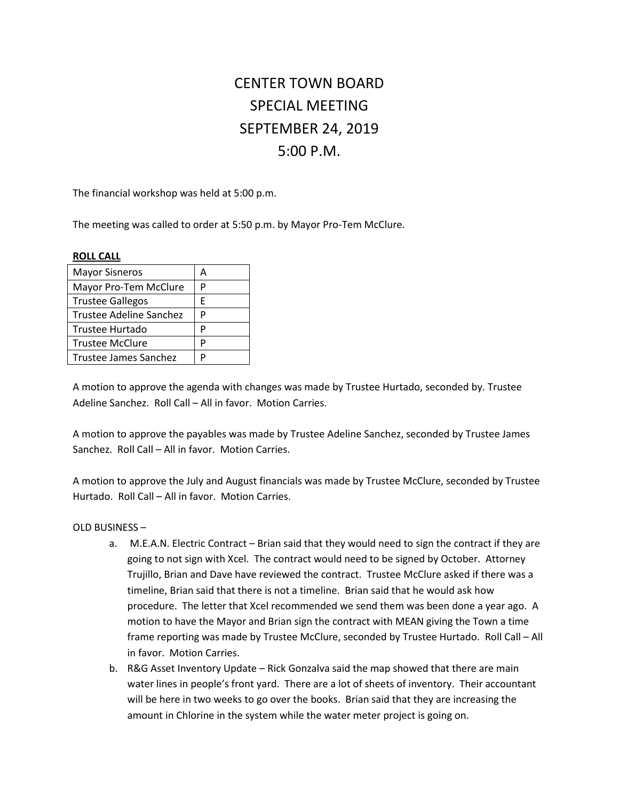# CENTER TOWN BOARD SPECIAL MEETING SEPTEMBER 24, 2019 5:00 P.M.

The financial workshop was held at 5:00 p.m.

The meeting was called to order at 5:50 p.m. by Mayor Pro-Tem McClure.

## **ROLL CALL**

| <b>Mayor Sisneros</b>          | A |
|--------------------------------|---|
| Mayor Pro-Tem McClure          | P |
| <b>Trustee Gallegos</b>        | F |
| <b>Trustee Adeline Sanchez</b> | P |
| Trustee Hurtado                | P |
| <b>Trustee McClure</b>         | P |
| Trustee James Sanchez          | D |

A motion to approve the agenda with changes was made by Trustee Hurtado, seconded by. Trustee Adeline Sanchez. Roll Call – All in favor. Motion Carries.

A motion to approve the payables was made by Trustee Adeline Sanchez, seconded by Trustee James Sanchez. Roll Call – All in favor. Motion Carries.

A motion to approve the July and August financials was made by Trustee McClure, seconded by Trustee Hurtado. Roll Call – All in favor. Motion Carries.

## OLD BUSINESS –

- a. M.E.A.N. Electric Contract Brian said that they would need to sign the contract if they are going to not sign with Xcel. The contract would need to be signed by October. Attorney Trujillo, Brian and Dave have reviewed the contract. Trustee McClure asked if there was a timeline, Brian said that there is not a timeline. Brian said that he would ask how procedure. The letter that Xcel recommended we send them was been done a year ago. A motion to have the Mayor and Brian sign the contract with MEAN giving the Town a time frame reporting was made by Trustee McClure, seconded by Trustee Hurtado. Roll Call – All in favor. Motion Carries.
- b. R&G Asset Inventory Update Rick Gonzalva said the map showed that there are main water lines in people's front yard. There are a lot of sheets of inventory. Their accountant will be here in two weeks to go over the books. Brian said that they are increasing the amount in Chlorine in the system while the water meter project is going on.